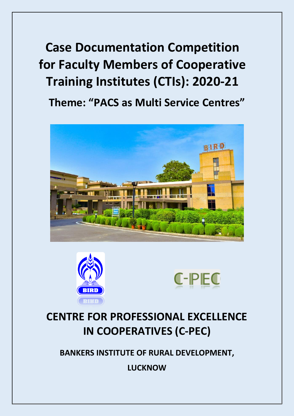**Case Documentation Competition for Faculty Members of Cooperative Training Institutes (CTIs): 2020-21**

**Theme: "PACS as Multi Service Centres"**







# **CENTRE FOR PROFESSIONAL EXCELLENCE IN COOPERATIVES (C-PEC)**

**BANKERS INSTITUTE OF RURAL DEVELOPMENT,**

**LUCKNOW**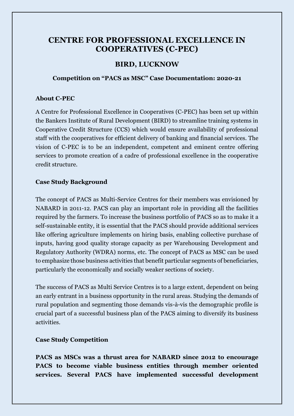# **CENTRE FOR PROFESSIONAL EXCELLENCE IN COOPERATIVES (C-PEC)**

# **BIRD, LUCKNOW**

#### **Competition on "PACS as MSC" Case Documentation: 2020-21**

#### **About C-PEC**

A Centre for Professional Excellence in Cooperatives (C-PEC) has been set up within the Bankers Institute of Rural Development (BIRD) to streamline training systems in Cooperative Credit Structure (CCS) which would ensure availability of professional staff with the cooperatives for efficient delivery of banking and financial services. The vision of C-PEC is to be an independent, competent and eminent centre offering services to promote creation of a cadre of professional excellence in the cooperative credit structure.

## **Case Study Background**

The concept of PACS as Multi-Service Centres for their members was envisioned by NABARD in 2011-12. PACS can play an important role in providing all the facilities required by the farmers. To increase the business portfolio of PACS so as to make it a self-sustainable entity, it is essential that the PACS should provide additional services like offering agriculture implements on hiring basis, enabling collective purchase of inputs, having good quality storage capacity as per Warehousing Development and Regulatory Authority (WDRA) norms, etc. The concept of PACS as MSC can be used to emphasize those business activities that benefit particular segments of beneficiaries, particularly the economically and socially weaker sections of society.

The success of PACS as Multi Service Centres is to a large extent, dependent on being an early entrant in a business opportunity in the rural areas. Studying the demands of rural population and segmenting those demands vis-à-vis the demographic profile is crucial part of a successful business plan of the PACS aiming to diversify its business activities.

## **Case Study Competition**

**PACS as MSCs was a thrust area for NABARD since 2012 to encourage PACS to become viable business entities through member oriented services. Several PACS have implemented successful development**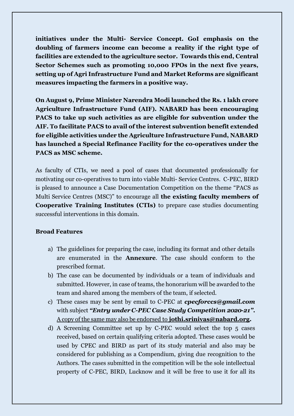**initiatives under the Multi- Service Concept. GoI emphasis on the doubling of farmers income can become a reality if the right type of facilities are extended to the agriculture sector. Towards this end, Central Sector Schemes such as promoting 10,000 FPOs in the next five years, setting up of Agri Infrastructure Fund and Market Reforms are significant measures impacting the farmers in a positive way.**

**On August 9, Prime Minister [Narendra Modi](https://indianexpress.com/about/narendra-modi) launched the Rs. 1 lakh crore Agriculture Infrastructure Fund (AIF). NABARD has been encouraging PACS to take up such activities as are eligible for subvention under the AIF. To facilitate PACS to avail of the interest subvention benefit extended for eligible activities under the Agriculture Infrastructure Fund, NABARD has launched a Special Refinance Facility for the co-operatives under the PACS as MSC scheme.**

As faculty of CTIs, we need a pool of cases that documented professionally for motivating our co-operatives to turn into viable Multi- Service Centres. C-PEC, BIRD is pleased to announce a Case Documentation Competition on the theme "PACS as Multi Service Centres (MSC)" to encourage all **the existing faculty members of Cooperative Training Institutes (CTIs)** to prepare case studies documenting successful interventions in this domain.

## **Broad Features**

- a) The guidelines for preparing the case, including its format and other details are enumerated in the **Annexure**. The case should conform to the prescribed format.
- b) The case can be documented by individuals or a team of individuals and submitted. However, in case of teams, the honorarium will be awarded to the team and shared among the members of the team, if selected.
- c) These cases may be sent by email to C-PEC at *cpecforccs@gmail.com*  with subject *"Entry under C-PEC Case Study Competition 2020-21"***.** A copy of the same may also be endorsed to **jothi.srinivas@nabard.org.**
- d) A Screening Committee set up by C-PEC would select the top 5 cases received, based on certain qualifying criteria adopted. These cases would be used by CPEC and BIRD as part of its study material and also may be considered for publishing as a Compendium, giving due recognition to the Authors. The cases submitted in the competition will be the sole intellectual property of C-PEC, BIRD, Lucknow and it will be free to use it for all its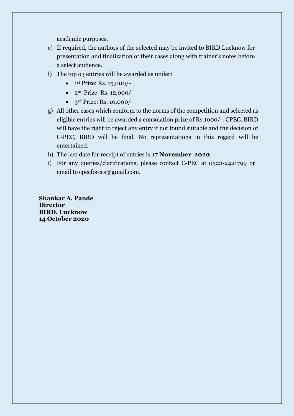academic purposes.

- e) If required, the authors of the selected may be invited to BIRD Lucknow for presentation and finalization of their cases along with trainer's notes before a select audience.
- f) The top 03 entries will be awarded as under:
	- $\bullet$  1st Prize: Rs. 15,000/-
	- $2<sup>nd</sup> Prize: Rs. 12,000/$
	- $\bullet$  3<sup>rd</sup> Prize: Rs. 10,000/-
- g) All other cases which conform to the norms of the competition and selected as eligible entries will be awarded a consolation prize of Rs.1000/-. CPEC, BIRD will have the right to reject any entry if not found suitable and the decision of C-PEC, BIRD will be final. No representations in this regard will be entertained.
- h) The last date for receipt of entries is **17 November 2020**.
- i) For any queries/clarifications, please contact C-PEC at 0522-2421799 or email to cpecforccs@gmail.com.

**Shankar A. Pande Director BIRD, Lucknow 14 October 2020**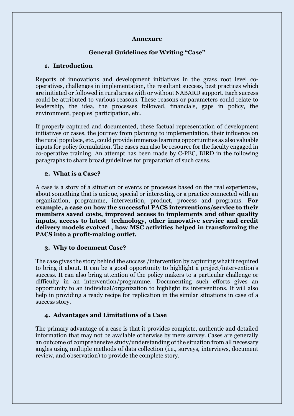#### **Annexure**

#### **General Guidelines for Writing "Case"**

#### **1. Introduction**

Reports of innovations and development initiatives in the grass root level cooperatives, challenges in implementation, the resultant success, best practices which are initiated or followed in rural areas with or without NABARD support. Each success could be attributed to various reasons. These reasons or parameters could relate to leadership, the idea, the processes followed, financials, gaps in policy, the environment, peoples' participation, etc.

If properly captured and documented, these factual representation of development initiatives or cases, the journey from planning to implementation, their influence on the rural populace, etc., could provide immense learning opportunities as also valuable inputs for policy formulation. The cases can also be resource for the faculty engaged in co-operative training. An attempt has been made by C-PEC, BIRD in the following paragraphs to share broad guidelines for preparation of such cases.

#### **2. What is a Case?**

A case is a story of a situation or events or processes based on the real experiences, about something that is unique, special or interesting or a practice connected with an organization, programme, intervention, product, process and programs. **For example, a case on how the successful PACS interventions/service to their members saved costs, improved access to implements and other quality inputs, access to latest technology, other innovative service and credit delivery models evolved , how MSC activities helped in transforming the PACS into a profit-making outlet.** 

#### **3. Why to document Case?**

The case gives the story behind the success /intervention by capturing what it required to bring it about. It can be a good opportunity to highlight a project/intervention's success. It can also bring attention of the policy makers to a particular challenge or difficulty in an intervention/programme. Documenting such efforts gives an opportunity to an individual/organization to highlight its interventions. It will also help in providing a ready recipe for replication in the similar situations in case of a success story.

#### **4. Advantages and Limitations of a Case**

The primary advantage of a case is that it provides complete, authentic and detailed information that may not be available otherwise by mere survey. Cases are generally an outcome of comprehensive study/understanding of the situation from all necessary angles using multiple methods of data collection (i.e., surveys, interviews, document review, and observation) to provide the complete story.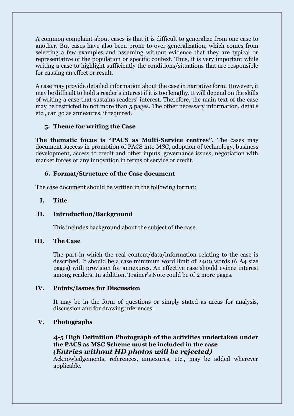A common complaint about cases is that it is difficult to generalize from one case to another. But cases have also been prone to over-generalization, which comes from selecting a few examples and assuming without evidence that they are typical or representative of the population or specific context. Thus, it is very important while writing a case to highlight sufficiently the conditions/situations that are responsible for causing an effect or result.

A case may provide detailed information about the case in narrative form. However, it may be difficult to hold a reader's interest if it is too lengthy. It will depend on the skills of writing a case that sustains readers' interest. Therefore, the main text of the case may be restricted to not more than 5 pages. The other necessary information, details etc., can go as annexures, if required.

#### **5. Theme for writing the Case**

**The thematic focus is "PACS as Multi-Service centres".** The cases may document success in promotion of PACS into MSC, adoption of technology, business development, access to credit and other inputs, governance issues, negotiation with market forces or any innovation in terms of service or credit.

#### **6. Format/Structure of the Case document**

The case document should be written in the following format:

#### **I. Title**

#### **II. Introduction/Background**

This includes background about the subject of the case.

#### **III. The Case**

The part in which the real content/data/information relating to the case is described. It should be a case minimum word limit of 2400 words (6 A4 size pages) with provision for annexures. An effective case should evince interest among readers. In addition, Trainer's Note could be of 2 more pages.

#### **IV. Points/Issues for Discussion**

It may be in the form of questions or simply stated as areas for analysis, discussion and for drawing inferences.

#### **V. Photographs**

## **4-5 High Definition Photograph of the activities undertaken under the PACS as MSC Scheme must be included in the case** *(Entries without HD photos will be rejected)*

Acknowledgements, references, annexures, etc., may be added wherever applicable.